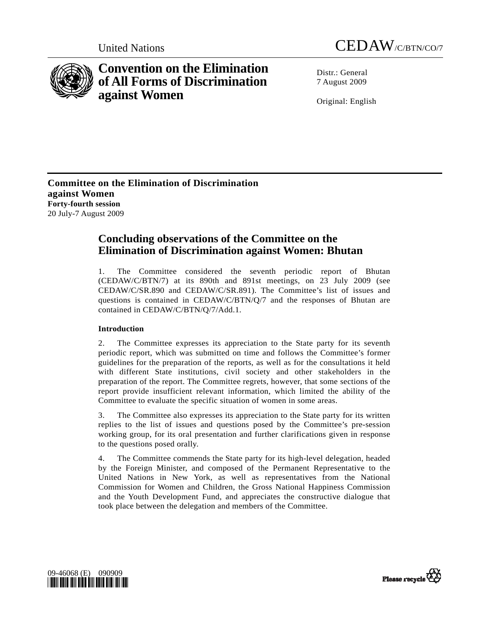



# **Convention on the Elimination of All Forms of Discrimination against Women**

Distr · General 7 August 2009

Original: English

**Committee on the Elimination of Discrimination against Women Forty-fourth session**  20 July-7 August 2009

## **Concluding observations of the Committee on the Elimination of Discrimination against Women: Bhutan**

1. The Committee considered the seventh periodic report of Bhutan (CEDAW/C/BTN/7) at its 890th and 891st meetings, on 23 July 2009 (see CEDAW/C/SR.890 and CEDAW/C/SR.891). The Committee's list of issues and questions is contained in CEDAW/C/BTN/Q/7 and the responses of Bhutan are contained in CEDAW/C/BTN/Q/7/Add.1.

## **Introduction**

2. The Committee expresses its appreciation to the State party for its seventh periodic report, which was submitted on time and follows the Committee's former guidelines for the preparation of the reports, as well as for the consultations it held with different State institutions, civil society and other stakeholders in the preparation of the report. The Committee regrets, however, that some sections of the report provide insufficient relevant information, which limited the ability of the Committee to evaluate the specific situation of women in some areas.

3. The Committee also expresses its appreciation to the State party for its written replies to the list of issues and questions posed by the Committee's pre-session working group, for its oral presentation and further clarifications given in response to the questions posed orally.

4. The Committee commends the State party for its high-level delegation, headed by the Foreign Minister, and composed of the Permanent Representative to the United Nations in New York, as well as representatives from the National Commission for Women and Children, the Gross National Happiness Commission and the Youth Development Fund, and appreciates the constructive dialogue that took place between the delegation and members of the Committee.



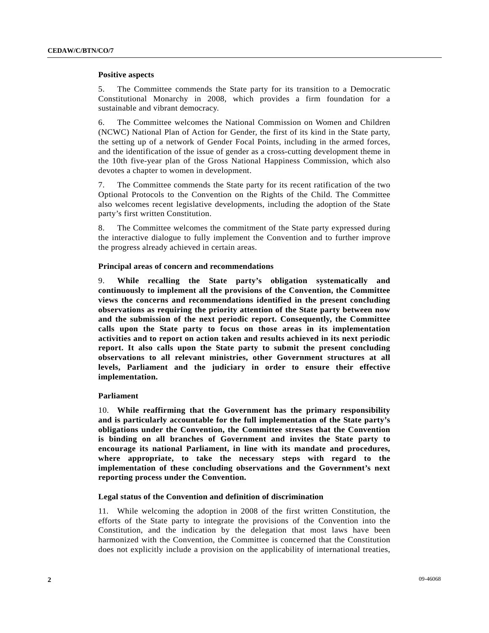#### **Positive aspects**

5. The Committee commends the State party for its transition to a Democratic Constitutional Monarchy in 2008, which provides a firm foundation for a sustainable and vibrant democracy.

6. The Committee welcomes the National Commission on Women and Children (NCWC) National Plan of Action for Gender, the first of its kind in the State party, the setting up of a network of Gender Focal Points, including in the armed forces, and the identification of the issue of gender as a cross-cutting development theme in the 10th five-year plan of the Gross National Happiness Commission, which also devotes a chapter to women in development.

7. The Committee commends the State party for its recent ratification of the two Optional Protocols to the Convention on the Rights of the Child. The Committee also welcomes recent legislative developments, including the adoption of the State party's first written Constitution.

8. The Committee welcomes the commitment of the State party expressed during the interactive dialogue to fully implement the Convention and to further improve the progress already achieved in certain areas.

#### **Principal areas of concern and recommendations**

9. **While recalling the State party's obligation systematically and continuously to implement all the provisions of the Convention, the Committee views the concerns and recommendations identified in the present concluding observations as requiring the priority attention of the State party between now and the submission of the next periodic report. Consequently, the Committee calls upon the State party to focus on those areas in its implementation activities and to report on action taken and results achieved in its next periodic report. It also calls upon the State party to submit the present concluding observations to all relevant ministries, other Government structures at all levels, Parliament and the judiciary in order to ensure their effective implementation.**

#### **Parliament**

10. **While reaffirming that the Government has the primary responsibility and is particularly accountable for the full implementation of the State party's obligations under the Convention, the Committee stresses that the Convention is binding on all branches of Government and invites the State party to encourage its national Parliament, in line with its mandate and procedures, where appropriate, to take the necessary steps with regard to the implementation of these concluding observations and the Government's next reporting process under the Convention.**

## **Legal status of the Convention and definition of discrimination**

11. While welcoming the adoption in 2008 of the first written Constitution, the efforts of the State party to integrate the provisions of the Convention into the Constitution, and the indication by the delegation that most laws have been harmonized with the Convention, the Committee is concerned that the Constitution does not explicitly include a provision on the applicability of international treaties,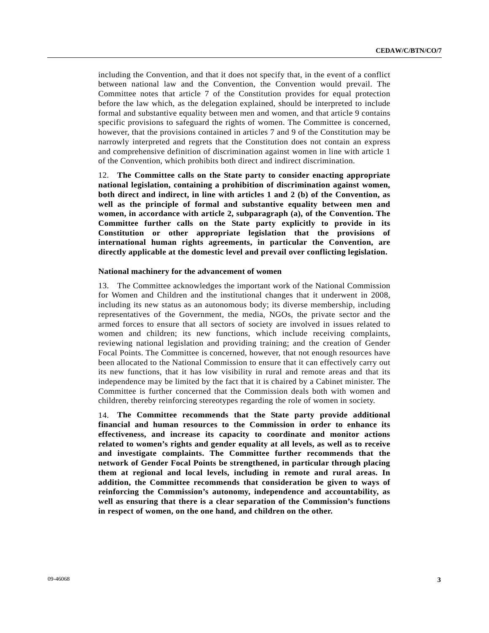including the Convention, and that it does not specify that, in the event of a conflict between national law and the Convention, the Convention would prevail. The Committee notes that article 7 of the Constitution provides for equal protection before the law which, as the delegation explained, should be interpreted to include formal and substantive equality between men and women, and that article 9 contains specific provisions to safeguard the rights of women. The Committee is concerned, however, that the provisions contained in articles 7 and 9 of the Constitution may be narrowly interpreted and regrets that the Constitution does not contain an express and comprehensive definition of discrimination against women in line with article 1 of the Convention, which prohibits both direct and indirect discrimination.

12. **The Committee calls on the State party to consider enacting appropriate national legislation, containing a prohibition of discrimination against women, both direct and indirect, in line with articles 1 and 2 (b) of the Convention, as well as the principle of formal and substantive equality between men and women, in accordance with article 2, subparagraph (a), of the Convention. The Committee further calls on the State party explicitly to provide in its Constitution or other appropriate legislation that the provisions of international human rights agreements, in particular the Convention, are directly applicable at the domestic level and prevail over conflicting legislation.**

#### **National machinery for the advancement of women**

13. The Committee acknowledges the important work of the National Commission for Women and Children and the institutional changes that it underwent in 2008, including its new status as an autonomous body; its diverse membership, including representatives of the Government, the media, NGOs, the private sector and the armed forces to ensure that all sectors of society are involved in issues related to women and children; its new functions, which include receiving complaints, reviewing national legislation and providing training; and the creation of Gender Focal Points. The Committee is concerned, however, that not enough resources have been allocated to the National Commission to ensure that it can effectively carry out its new functions, that it has low visibility in rural and remote areas and that its independence may be limited by the fact that it is chaired by a Cabinet minister. The Committee is further concerned that the Commission deals both with women and children, thereby reinforcing stereotypes regarding the role of women in society.

14. **The Committee recommends that the State party provide additional financial and human resources to the Commission in order to enhance its effectiveness, and increase its capacity to coordinate and monitor actions related to women's rights and gender equality at all levels, as well as to receive and investigate complaints. The Committee further recommends that the network of Gender Focal Points be strengthened, in particular through placing them at regional and local levels, including in remote and rural areas. In addition, the Committee recommends that consideration be given to ways of reinforcing the Commission's autonomy, independence and accountability, as well as ensuring that there is a clear separation of the Commission's functions in respect of women, on the one hand, and children on the other.**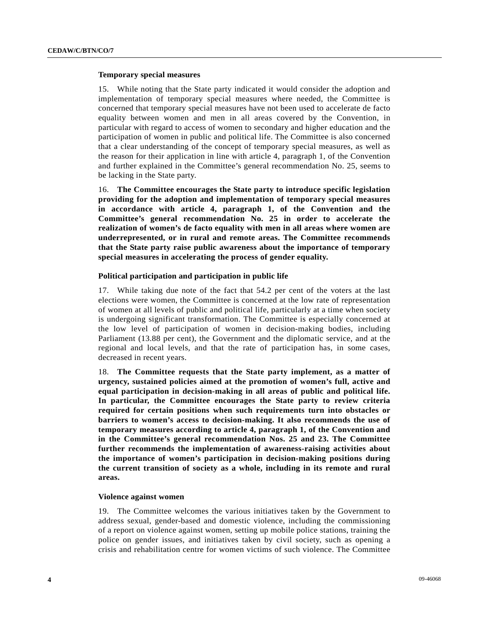## **Temporary special measures**

15. While noting that the State party indicated it would consider the adoption and implementation of temporary special measures where needed, the Committee is concerned that temporary special measures have not been used to accelerate de facto equality between women and men in all areas covered by the Convention, in particular with regard to access of women to secondary and higher education and the participation of women in public and political life. The Committee is also concerned that a clear understanding of the concept of temporary special measures, as well as the reason for their application in line with article 4, paragraph 1, of the Convention and further explained in the Committee's general recommendation No. 25, seems to be lacking in the State party.

16. **The Committee encourages the State party to introduce specific legislation providing for the adoption and implementation of temporary special measures in accordance with article 4, paragraph 1, of the Convention and the Committee's general recommendation No. 25 in order to accelerate the realization of women's de facto equality with men in all areas where women are underrepresented, or in rural and remote areas. The Committee recommends that the State party raise public awareness about the importance of temporary special measures in accelerating the process of gender equality.**

#### **Political participation and participation in public life**

17. While taking due note of the fact that 54.2 per cent of the voters at the last elections were women, the Committee is concerned at the low rate of representation of women at all levels of public and political life, particularly at a time when society is undergoing significant transformation. The Committee is especially concerned at the low level of participation of women in decision-making bodies, including Parliament (13.88 per cent), the Government and the diplomatic service, and at the regional and local levels, and that the rate of participation has, in some cases, decreased in recent years.

18. **The Committee requests that the State party implement, as a matter of urgency, sustained policies aimed at the promotion of women's full, active and equal participation in decision-making in all areas of public and political life. In particular, the Committee encourages the State party to review criteria required for certain positions when such requirements turn into obstacles or barriers to women's access to decision-making. It also recommends the use of temporary measures according to article 4, paragraph 1, of the Convention and in the Committee's general recommendation Nos. 25 and 23. The Committee further recommends the implementation of awareness-raising activities about the importance of women's participation in decision-making positions during the current transition of society as a whole, including in its remote and rural areas.**

#### **Violence against women**

19. The Committee welcomes the various initiatives taken by the Government to address sexual, gender-based and domestic violence, including the commissioning of a report on violence against women, setting up mobile police stations, training the police on gender issues, and initiatives taken by civil society, such as opening a crisis and rehabilitation centre for women victims of such violence. The Committee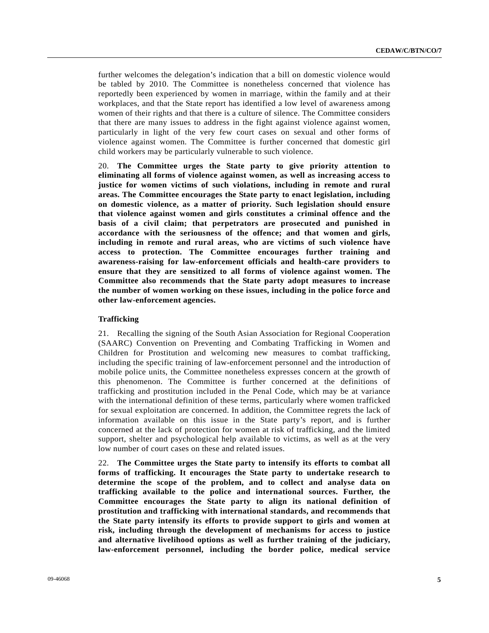further welcomes the delegation's indication that a bill on domestic violence would be tabled by 2010. The Committee is nonetheless concerned that violence has reportedly been experienced by women in marriage, within the family and at their workplaces, and that the State report has identified a low level of awareness among women of their rights and that there is a culture of silence. The Committee considers that there are many issues to address in the fight against violence against women, particularly in light of the very few court cases on sexual and other forms of violence against women. The Committee is further concerned that domestic girl child workers may be particularly vulnerable to such violence.

20. **The Committee urges the State party to give priority attention to eliminating all forms of violence against women, as well as increasing access to justice for women victims of such violations, including in remote and rural areas. The Committee encourages the State party to enact legislation, including on domestic violence, as a matter of priority. Such legislation should ensure that violence against women and girls constitutes a criminal offence and the basis of a civil claim; that perpetrators are prosecuted and punished in accordance with the seriousness of the offence; and that women and girls, including in remote and rural areas, who are victims of such violence have access to protection. The Committee encourages further training and awareness-raising for law-enforcement officials and health-care providers to ensure that they are sensitized to all forms of violence against women. The Committee also recommends that the State party adopt measures to increase the number of women working on these issues, including in the police force and other law-enforcement agencies.**

## **Trafficking**

21. Recalling the signing of the South Asian Association for Regional Cooperation (SAARC) Convention on Preventing and Combating Trafficking in Women and Children for Prostitution and welcoming new measures to combat trafficking, including the specific training of law-enforcement personnel and the introduction of mobile police units, the Committee nonetheless expresses concern at the growth of this phenomenon. The Committee is further concerned at the definitions of trafficking and prostitution included in the Penal Code, which may be at variance with the international definition of these terms, particularly where women trafficked for sexual exploitation are concerned. In addition, the Committee regrets the lack of information available on this issue in the State party's report, and is further concerned at the lack of protection for women at risk of trafficking, and the limited support, shelter and psychological help available to victims, as well as at the very low number of court cases on these and related issues.

22. **The Committee urges the State party to intensify its efforts to combat all forms of trafficking. It encourages the State party to undertake research to determine the scope of the problem, and to collect and analyse data on trafficking available to the police and international sources. Further, the Committee encourages the State party to align its national definition of prostitution and trafficking with international standards, and recommends that the State party intensify its efforts to provide support to girls and women at risk, including through the development of mechanisms for access to justice and alternative livelihood options as well as further training of the judiciary, law-enforcement personnel, including the border police, medical service**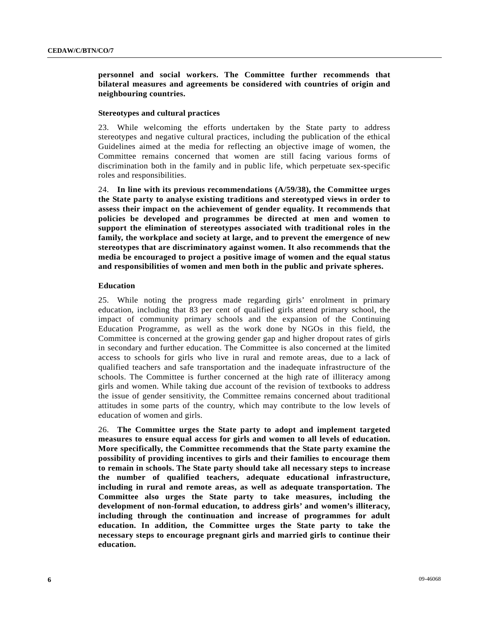## **personnel and social workers. The Committee further recommends that bilateral measures and agreements be considered with countries of origin and neighbouring countries.**

#### **Stereotypes and cultural practices**

23. While welcoming the efforts undertaken by the State party to address stereotypes and negative cultural practices, including the publication of the ethical Guidelines aimed at the media for reflecting an objective image of women, the Committee remains concerned that women are still facing various forms of discrimination both in the family and in public life, which perpetuate sex-specific roles and responsibilities.

24. **In line with its previous recommendations (A/59/38), the Committee urges the State party to analyse existing traditions and stereotyped views in order to assess their impact on the achievement of gender equality. It recommends that policies be developed and programmes be directed at men and women to support the elimination of stereotypes associated with traditional roles in the family, the workplace and society at large, and to prevent the emergence of new stereotypes that are discriminatory against women. It also recommends that the media be encouraged to project a positive image of women and the equal status and responsibilities of women and men both in the public and private spheres.**

#### **Education**

25. While noting the progress made regarding girls' enrolment in primary education, including that 83 per cent of qualified girls attend primary school, the impact of community primary schools and the expansion of the Continuing Education Programme, as well as the work done by NGOs in this field, the Committee is concerned at the growing gender gap and higher dropout rates of girls in secondary and further education. The Committee is also concerned at the limited access to schools for girls who live in rural and remote areas, due to a lack of qualified teachers and safe transportation and the inadequate infrastructure of the schools. The Committee is further concerned at the high rate of illiteracy among girls and women. While taking due account of the revision of textbooks to address the issue of gender sensitivity, the Committee remains concerned about traditional attitudes in some parts of the country, which may contribute to the low levels of education of women and girls.

26. **The Committee urges the State party to adopt and implement targeted measures to ensure equal access for girls and women to all levels of education. More specifically, the Committee recommends that the State party examine the possibility of providing incentives to girls and their families to encourage them to remain in schools. The State party should take all necessary steps to increase the number of qualified teachers, adequate educational infrastructure, including in rural and remote areas, as well as adequate transportation. The Committee also urges the State party to take measures, including the development of non-formal education, to address girls' and women's illiteracy, including through the continuation and increase of programmes for adult education. In addition, the Committee urges the State party to take the necessary steps to encourage pregnant girls and married girls to continue their education.**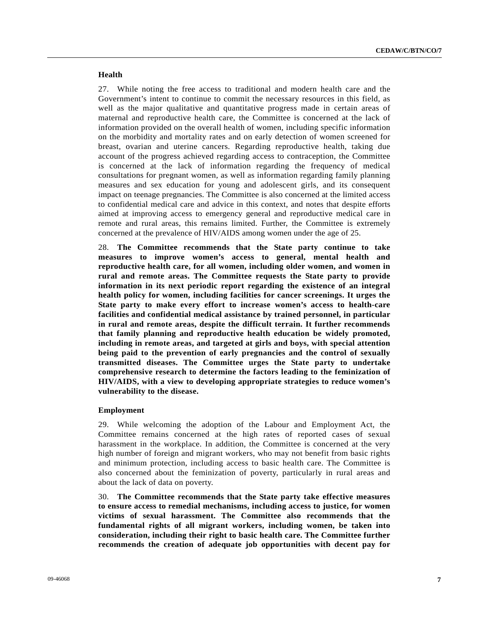## **Health**

27. While noting the free access to traditional and modern health care and the Government's intent to continue to commit the necessary resources in this field, as well as the major qualitative and quantitative progress made in certain areas of maternal and reproductive health care, the Committee is concerned at the lack of information provided on the overall health of women, including specific information on the morbidity and mortality rates and on early detection of women screened for breast, ovarian and uterine cancers. Regarding reproductive health, taking due account of the progress achieved regarding access to contraception, the Committee is concerned at the lack of information regarding the frequency of medical consultations for pregnant women, as well as information regarding family planning measures and sex education for young and adolescent girls, and its consequent impact on teenage pregnancies. The Committee is also concerned at the limited access to confidential medical care and advice in this context, and notes that despite efforts aimed at improving access to emergency general and reproductive medical care in remote and rural areas, this remains limited. Further, the Committee is extremely concerned at the prevalence of HIV/AIDS among women under the age of 25.

28. **The Committee recommends that the State party continue to take measures to improve women's access to general, mental health and reproductive health care, for all women, including older women, and women in rural and remote areas. The Committee requests the State party to provide information in its next periodic report regarding the existence of an integral health policy for women, including facilities for cancer screenings. It urges the State party to make every effort to increase women's access to health-care facilities and confidential medical assistance by trained personnel, in particular in rural and remote areas, despite the difficult terrain. It further recommends that family planning and reproductive health education be widely promoted, including in remote areas, and targeted at girls and boys, with special attention being paid to the prevention of early pregnancies and the control of sexually transmitted diseases. The Committee urges the State party to undertake comprehensive research to determine the factors leading to the feminization of HIV/AIDS, with a view to developing appropriate strategies to reduce women's vulnerability to the disease.**

#### **Employment**

29. While welcoming the adoption of the Labour and Employment Act, the Committee remains concerned at the high rates of reported cases of sexual harassment in the workplace. In addition, the Committee is concerned at the very high number of foreign and migrant workers, who may not benefit from basic rights and minimum protection, including access to basic health care. The Committee is also concerned about the feminization of poverty, particularly in rural areas and about the lack of data on poverty.

30. **The Committee recommends that the State party take effective measures to ensure access to remedial mechanisms, including access to justice, for women victims of sexual harassment. The Committee also recommends that the fundamental rights of all migrant workers, including women, be taken into consideration, including their right to basic health care. The Committee further recommends the creation of adequate job opportunities with decent pay for**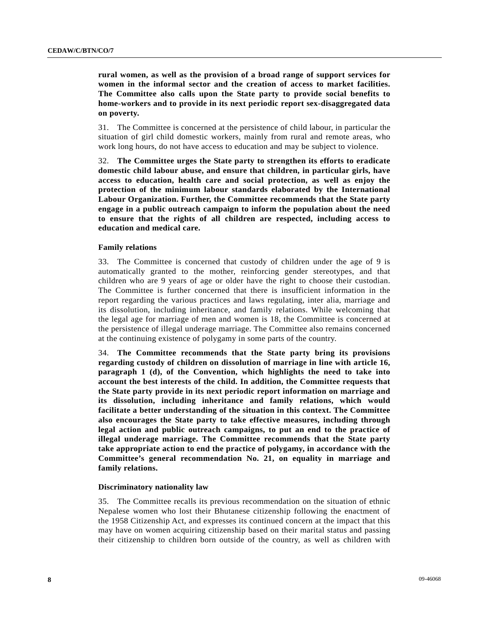**rural women, as well as the provision of a broad range of support services for women in the informal sector and the creation of access to market facilities. The Committee also calls upon the State party to provide social benefits to home-workers and to provide in its next periodic report sex-disaggregated data on poverty.**

31. The Committee is concerned at the persistence of child labour, in particular the situation of girl child domestic workers, mainly from rural and remote areas, who work long hours, do not have access to education and may be subject to violence.

32. **The Committee urges the State party to strengthen its efforts to eradicate domestic child labour abuse, and ensure that children, in particular girls, have access to education, health care and social protection, as well as enjoy the protection of the minimum labour standards elaborated by the International Labour Organization. Further, the Committee recommends that the State party engage in a public outreach campaign to inform the population about the need to ensure that the rights of all children are respected, including access to education and medical care.**

#### **Family relations**

33. The Committee is concerned that custody of children under the age of 9 is automatically granted to the mother, reinforcing gender stereotypes, and that children who are 9 years of age or older have the right to choose their custodian. The Committee is further concerned that there is insufficient information in the report regarding the various practices and laws regulating, inter alia, marriage and its dissolution, including inheritance, and family relations. While welcoming that the legal age for marriage of men and women is 18, the Committee is concerned at the persistence of illegal underage marriage. The Committee also remains concerned at the continuing existence of polygamy in some parts of the country.

34. **The Committee recommends that the State party bring its provisions regarding custody of children on dissolution of marriage in line with article 16, paragraph 1 (d), of the Convention, which highlights the need to take into account the best interests of the child. In addition, the Committee requests that the State party provide in its next periodic report information on marriage and its dissolution, including inheritance and family relations, which would facilitate a better understanding of the situation in this context. The Committee also encourages the State party to take effective measures, including through legal action and public outreach campaigns, to put an end to the practice of illegal underage marriage. The Committee recommends that the State party take appropriate action to end the practice of polygamy, in accordance with the Committee's general recommendation No. 21, on equality in marriage and family relations.**

#### **Discriminatory nationality law**

35. The Committee recalls its previous recommendation on the situation of ethnic Nepalese women who lost their Bhutanese citizenship following the enactment of the 1958 Citizenship Act, and expresses its continued concern at the impact that this may have on women acquiring citizenship based on their marital status and passing their citizenship to children born outside of the country, as well as children with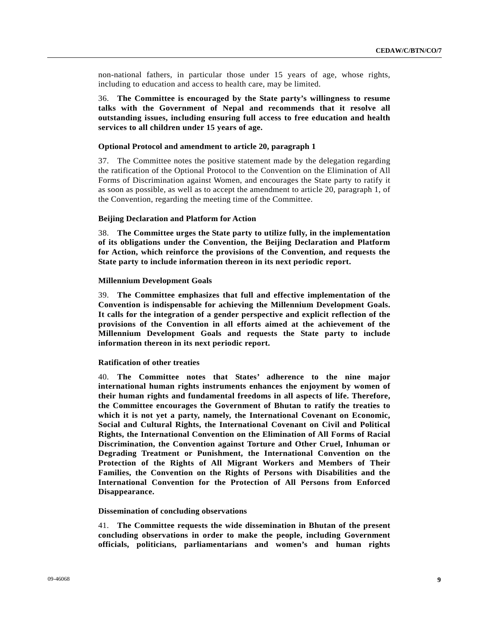non-national fathers, in particular those under 15 years of age, whose rights, including to education and access to health care, may be limited.

36. **The Committee is encouraged by the State party's willingness to resume talks with the Government of Nepal and recommends that it resolve all outstanding issues, including ensuring full access to free education and health services to all children under 15 years of age.**

#### **Optional Protocol and amendment to article 20, paragraph 1**

37. The Committee notes the positive statement made by the delegation regarding the ratification of the Optional Protocol to the Convention on the Elimination of All Forms of Discrimination against Women, and encourages the State party to ratify it as soon as possible, as well as to accept the amendment to article 20, paragraph 1, of the Convention, regarding the meeting time of the Committee.

#### **Beijing Declaration and Platform for Action**

38. **The Committee urges the State party to utilize fully, in the implementation of its obligations under the Convention, the Beijing Declaration and Platform for Action, which reinforce the provisions of the Convention, and requests the State party to include information thereon in its next periodic report.**

#### **Millennium Development Goals**

39. **The Committee emphasizes that full and effective implementation of the Convention is indispensable for achieving the Millennium Development Goals. It calls for the integration of a gender perspective and explicit reflection of the provisions of the Convention in all efforts aimed at the achievement of the Millennium Development Goals and requests the State party to include information thereon in its next periodic report.**

#### **Ratification of other treaties**

40. **The Committee notes that States' adherence to the nine major international human rights instruments enhances the enjoyment by women of their human rights and fundamental freedoms in all aspects of life. Therefore, the Committee encourages the Government of Bhutan to ratify the treaties to which it is not yet a party, namely, the International Covenant on Economic, Social and Cultural Rights, the International Covenant on Civil and Political Rights, the International Convention on the Elimination of All Forms of Racial Discrimination, the Convention against Torture and Other Cruel, Inhuman or Degrading Treatment or Punishment, the International Convention on the Protection of the Rights of All Migrant Workers and Members of Their Families, the Convention on the Rights of Persons with Disabilities and the International Convention for the Protection of All Persons from Enforced Disappearance.**

#### **Dissemination of concluding observations**

41. **The Committee requests the wide dissemination in Bhutan of the present concluding observations in order to make the people, including Government officials, politicians, parliamentarians and women's and human rights**